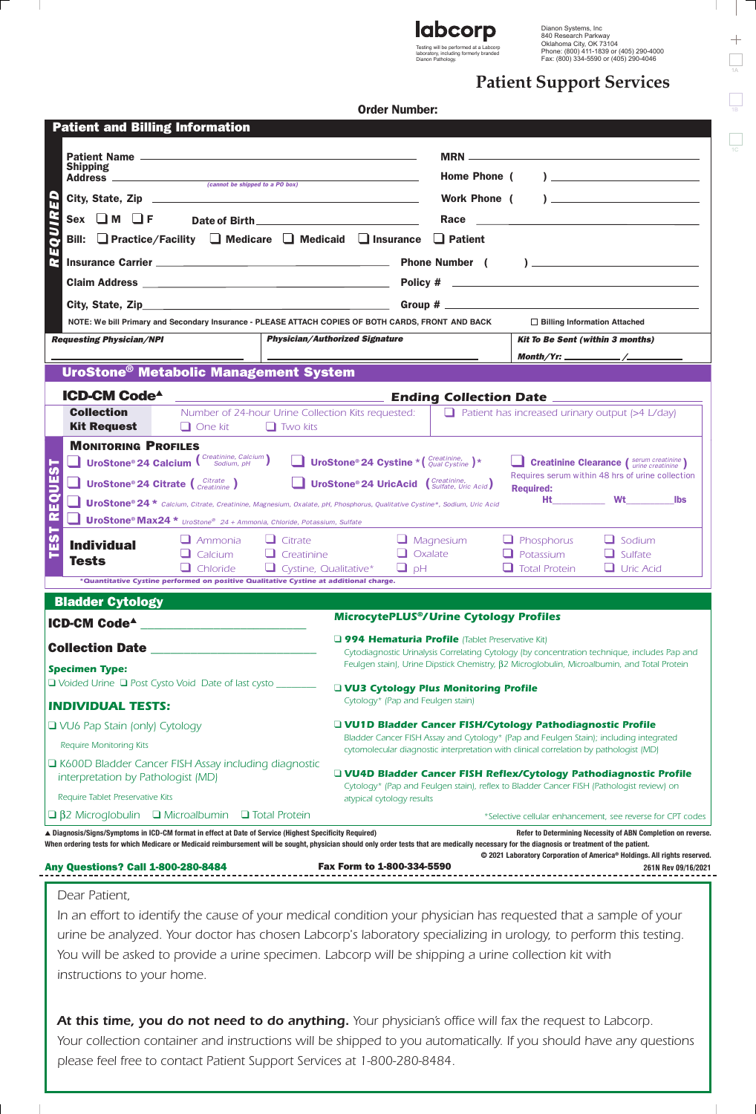

Dianon Pathology.

Dianon Systems, Inc 840 Research Parkway Oklahoma City, OK 73104 Phone: (800) 411-1839 or (405) 290-4000 Fax: (800) 334-5590 or (405) 290-4046

# **Patient Support Services**

|  | <b>Order Number:</b> |
|--|----------------------|
|--|----------------------|

T

|                                                    |                                                                                                         |                                                                                                                                                                                                                                     |                              | Order Number:                                                                                                                                                                                  |           |                                         |                                                                                                           |  |  |
|----------------------------------------------------|---------------------------------------------------------------------------------------------------------|-------------------------------------------------------------------------------------------------------------------------------------------------------------------------------------------------------------------------------------|------------------------------|------------------------------------------------------------------------------------------------------------------------------------------------------------------------------------------------|-----------|-----------------------------------------|-----------------------------------------------------------------------------------------------------------|--|--|
|                                                    | <b>Patient and Billing Information</b>                                                                  |                                                                                                                                                                                                                                     |                              |                                                                                                                                                                                                |           |                                         |                                                                                                           |  |  |
|                                                    |                                                                                                         |                                                                                                                                                                                                                                     |                              |                                                                                                                                                                                                |           |                                         |                                                                                                           |  |  |
| <b>Shipping</b><br>(cannot be shipped to a PO box) |                                                                                                         |                                                                                                                                                                                                                                     | Home Phone (                 |                                                                                                                                                                                                |           |                                         |                                                                                                           |  |  |
|                                                    |                                                                                                         |                                                                                                                                                                                                                                     |                              | $\mathbf{L}$<br>Work Phone (                                                                                                                                                                   |           |                                         |                                                                                                           |  |  |
|                                                    |                                                                                                         |                                                                                                                                                                                                                                     |                              |                                                                                                                                                                                                |           |                                         |                                                                                                           |  |  |
| <b>REQUIR</b>                                      |                                                                                                         |                                                                                                                                                                                                                                     |                              | Bill: $\Box$ Practice/Facility $\Box$ Medicare $\Box$ Medicaid $\Box$ Insurance $\Box$ Patient                                                                                                 |           |                                         |                                                                                                           |  |  |
|                                                    |                                                                                                         | Insurance Carrier <b>Carrier 2006</b> Carrier 2006 Carrier 2006 Carrier 2006 Carrier 2006 Carrier 2006 Carrier 2006 Carrier 2006 Carrier 2006 Carrier 2006 Carrier 2006 Carrier 2006 Carrier 2006 Carrier 2006 Carrier 2006 Carrier |                              |                                                                                                                                                                                                |           |                                         |                                                                                                           |  |  |
|                                                    |                                                                                                         |                                                                                                                                                                                                                                     |                              |                                                                                                                                                                                                |           |                                         |                                                                                                           |  |  |
|                                                    |                                                                                                         |                                                                                                                                                                                                                                     |                              |                                                                                                                                                                                                |           |                                         |                                                                                                           |  |  |
|                                                    |                                                                                                         |                                                                                                                                                                                                                                     |                              | NOTE: We bill Primary and Secondary Insurance - PLEASE ATTACH COPIES OF BOTH CARDS, FRONT AND BACK                                                                                             |           |                                         | $\Box$ Billing Information Attached                                                                       |  |  |
|                                                    | <b>Requesting Physician/NPI</b>                                                                         |                                                                                                                                                                                                                                     |                              | <b>Physician/Authorized Signature</b>                                                                                                                                                          |           | <b>Kit To Be Sent (within 3 months)</b> |                                                                                                           |  |  |
|                                                    |                                                                                                         |                                                                                                                                                                                                                                     |                              |                                                                                                                                                                                                |           |                                         |                                                                                                           |  |  |
|                                                    | UroStone <sup>®</sup> Metabolic Management System                                                       |                                                                                                                                                                                                                                     |                              |                                                                                                                                                                                                |           |                                         |                                                                                                           |  |  |
|                                                    | <b>ICD-CM Code<sup>4</sup></b>                                                                          |                                                                                                                                                                                                                                     |                              |                                                                                                                                                                                                |           |                                         |                                                                                                           |  |  |
|                                                    | <b>Collection</b><br><b>Kit Request</b>                                                                 | $\Box$ One kit                                                                                                                                                                                                                      | $\Box$ Two kits              |                                                                                                                                                                                                |           |                                         | Number of 24-hour Urine Collection Kits requested: $\Box$ Patient has increased urinary output (>4 L/day) |  |  |
|                                                    | <b>MONITORING PROFILES</b>                                                                              |                                                                                                                                                                                                                                     |                              |                                                                                                                                                                                                |           |                                         |                                                                                                           |  |  |
| この                                                 |                                                                                                         | <b>UroStone® 24 Calcium (</b> Creatinine, Calcium)                                                                                                                                                                                  |                              | <b>UroStone<sup>®</sup> 24 Cystine *</b> $\left(\begin{array}{c} \text{Creating,} \\ \text{Qual Cystine} \end{array}\right)$ *                                                                 |           |                                         | Creatinine Clearance (Serum creatinine)                                                                   |  |  |
|                                                    |                                                                                                         | <b>UroStone® 24 Citrate</b> $\begin{pmatrix}$ Citrate $\end{pmatrix}$                                                                                                                                                               |                              | <b>UroStone® 24 UricAcid</b> ( <i>Sulfate, Uric Acid</i> )                                                                                                                                     |           |                                         | Requires serum within 48 hrs of urine collection                                                          |  |  |
| EQUE                                               |                                                                                                         |                                                                                                                                                                                                                                     |                              | UroStone® 24 * Calcium, Citrate, Creatinine, Magnesium, Oxalate, pH, Phosphorus, Qualitative Cystine*, Sodium, Uric Acid                                                                       |           | <b>Required:</b>                        |                                                                                                           |  |  |
| $\overline{\mathbf{r}}$                            |                                                                                                         | <b>UroStone® Max24 *</b> UroStone® 24 + Ammonia, Chloride, Potassium, Sulfate                                                                                                                                                       |                              |                                                                                                                                                                                                |           |                                         |                                                                                                           |  |  |
| $\overline{5}$                                     | <b>Individual</b>                                                                                       | $\Box$ Ammonia                                                                                                                                                                                                                      | $\Box$ Citrate               |                                                                                                                                                                                                | Magnesium | $\Box$ Phosphorus                       | $\Box$ Sodium                                                                                             |  |  |
|                                                    | <b>Tests</b>                                                                                            | Calcium                                                                                                                                                                                                                             | $\Box$ Creatinine            |                                                                                                                                                                                                | Oxalate   | Potassium                               | $\Box$ Sulfate                                                                                            |  |  |
|                                                    |                                                                                                         | $\Box$ Chloride<br>*Quantitative Cystine performed on positive Qualitative Cystine at additional charge.                                                                                                                            | $\Box$ Cystine, Qualitative* | $H_q$                                                                                                                                                                                          |           | $\Box$ Total Protein                    | $\Box$ Uric Acid                                                                                          |  |  |
|                                                    |                                                                                                         |                                                                                                                                                                                                                                     |                              |                                                                                                                                                                                                |           |                                         |                                                                                                           |  |  |
|                                                    | <u> Blad</u> der Cytology                                                                               |                                                                                                                                                                                                                                     |                              | <b>MicrocytePLUS®/Urine Cytology Profiles</b>                                                                                                                                                  |           |                                         |                                                                                                           |  |  |
|                                                    | <b>ICD-CM Code<sup>4</sup></b>                                                                          |                                                                                                                                                                                                                                     |                              | <b>Q 994 Hematuria Profile</b> (Tablet Preservative Kit)                                                                                                                                       |           |                                         |                                                                                                           |  |  |
|                                                    | <b>Collection Date __</b>                                                                               |                                                                                                                                                                                                                                     |                              | Cytodiagnostic Urinalysis Correlating Cytology (by concentration technique, includes Pap and<br>Feulgen stain), Urine Dipstick Chemistry, β2 Microglobulin, Microalbumin, and Total Protein    |           |                                         |                                                                                                           |  |  |
|                                                    | <b>Specimen Type:</b>                                                                                   |                                                                                                                                                                                                                                     |                              |                                                                                                                                                                                                |           |                                         |                                                                                                           |  |  |
|                                                    | □ Voided Urine □ Post Cysto Void Date of last cysto __                                                  |                                                                                                                                                                                                                                     |                              | UVU3 Cytology Plus Monitoring Profile<br>Cytology* (Pap and Feulgen stain)                                                                                                                     |           |                                         |                                                                                                           |  |  |
|                                                    | <b>INDIVIDUAL TESTS:</b>                                                                                |                                                                                                                                                                                                                                     |                              |                                                                                                                                                                                                |           |                                         |                                                                                                           |  |  |
| □ VU6 Pap Stain (only) Cytology                    |                                                                                                         |                                                                                                                                                                                                                                     |                              | UVU1D Bladder Cancer FISH/Cytology Pathodiagnostic Profile<br>Bladder Cancer FISH Assay and Cytology* (Pap and Feulgen Stain); including integrated                                            |           |                                         |                                                                                                           |  |  |
|                                                    | <b>Require Monitoring Kits</b>                                                                          |                                                                                                                                                                                                                                     |                              | cytomolecular diagnostic interpretation with clinical correlation by pathologist (MD)                                                                                                          |           |                                         |                                                                                                           |  |  |
|                                                    | K600D Bladder Cancer FISH Assay including diagnostic<br>interpretation by Pathologist (MD)              |                                                                                                                                                                                                                                     |                              | □ VU4D Bladder Cancer FISH Reflex/Cytology Pathodiagnostic Profile                                                                                                                             |           |                                         |                                                                                                           |  |  |
| Require Tablet Preservative Kits                   |                                                                                                         |                                                                                                                                                                                                                                     |                              | Cytology* (Pap and Feulgen stain), reflex to Bladder Cancer FISH (Pathologist review) on<br>atypical cytology results                                                                          |           |                                         |                                                                                                           |  |  |
|                                                    | $\Box$ $\beta$ 2 Microglobulin $\Box$ Microalbumin $\Box$ Total Protein                                 |                                                                                                                                                                                                                                     |                              |                                                                                                                                                                                                |           |                                         | *Selective cellular enhancement, see reverse for CPT codes                                                |  |  |
|                                                    | ∆ Diagnosis/Signs/Symptoms in ICD-CM format in effect at Date of Service (Highest Specificity Required) |                                                                                                                                                                                                                                     |                              |                                                                                                                                                                                                |           |                                         | Refer to Determining Necessity of ABN Completion on reverse.                                              |  |  |
|                                                    |                                                                                                         |                                                                                                                                                                                                                                     |                              | When ordering tests for which Medicare or Medicaid reimbursement will be sought, physician should only order tests that are medically necessary for the diagnosis or treatment of the patient. |           |                                         | © 2021 Laboratory Corporation of America® Holdings. All rights reserved.                                  |  |  |
|                                                    | <b>Any Questions? Call 1-800-280-8484</b>                                                               |                                                                                                                                                                                                                                     |                              | Fax Form to 1-800-334-5590                                                                                                                                                                     |           |                                         | 261N Rev 09/16/2021                                                                                       |  |  |
|                                                    | Dear Patient,                                                                                           |                                                                                                                                                                                                                                     |                              |                                                                                                                                                                                                |           |                                         |                                                                                                           |  |  |
|                                                    |                                                                                                         |                                                                                                                                                                                                                                     |                              | In an effort to identify the cause of your medical condition your physician has requested that a sample of your                                                                                |           |                                         |                                                                                                           |  |  |
|                                                    |                                                                                                         |                                                                                                                                                                                                                                     |                              | urine be analyzed. Your doctor has chosen Labcorp's laboratory specializing in urology, to perform this testing.                                                                               |           |                                         |                                                                                                           |  |  |
|                                                    |                                                                                                         |                                                                                                                                                                                                                                     |                              |                                                                                                                                                                                                |           |                                         |                                                                                                           |  |  |
|                                                    |                                                                                                         |                                                                                                                                                                                                                                     |                              |                                                                                                                                                                                                |           |                                         |                                                                                                           |  |  |
|                                                    | instructions to your home.                                                                              |                                                                                                                                                                                                                                     |                              | You will be asked to provide a urine specimen. Labcorp will be shipping a urine collection kit with                                                                                            |           |                                         |                                                                                                           |  |  |

At this time, you do not need to do anything. Your physician's office will fax the request to Labcorp. *Your collection container and instructions will be shipped to you automatically. If you should have any questions please feel free to contact Patient Support Services at 1-800-280-8484.*